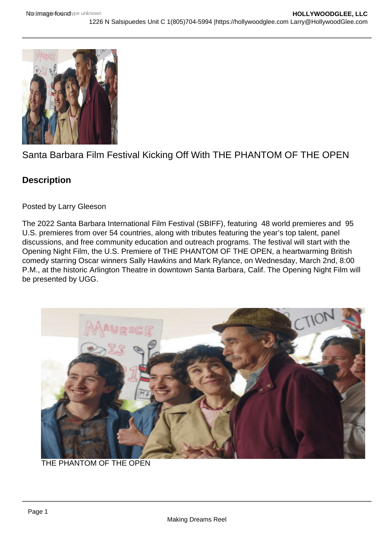## Santa Barbara Film Festival Kicking Off With THE PHANTOM OF THE OPEN

**Description** 

Posted by Larry Gleeson

The 2022 Santa Barbara International Film Festival (SBIFF), featuring 48 world premieres and 95 U.S. premieres from over 54 countries, along with tributes featuring the year's top talent, panel discussions, and free community education and outreach programs. The festival will start with the Opening Night Film, the U.S. Premiere of THE PHANTOM OF THE OPEN, a heartwarming British comedy starring Oscar winners Sally Hawkins and Mark Rylance, on Wednesday, March 2nd, 8:00 P.M., at the historic Arlington Theatre in downtown Santa Barbara, Calif. The Opening Night Film will be presented by UGG.

THE PHANTOM OF THE OPEN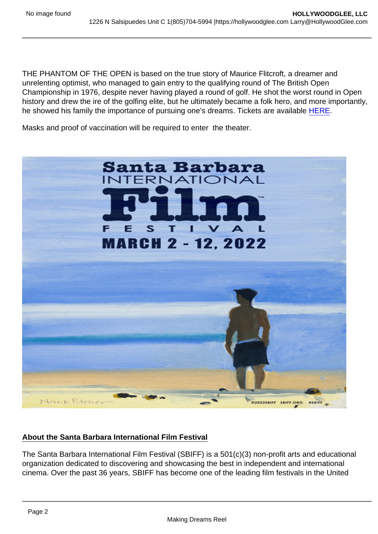THE PHANTOM OF THE OPEN is based on the true story of Maurice Flitcroft, a dreamer and unrelenting optimist, who managed to gain entry to the qualifying round of The British Open Championship in 1976, despite never having played a round of golf. He shot the worst round in Open history and drew the ire of the golfing elite, but he ultimately became a folk hero, and more importantly, he showed his family the importance of pursuing one's dreams. Tickets are available [HERE.](https://givebox.com/521649)

Masks and proof of vaccination will be required to enter the theater.

## About the Santa Barbara International Film Festival

The Santa Barbara International Film Festival (SBIFF) is a 501(c)(3) non-profit arts and educational organization dedicated to discovering and showcasing the best in independent and international cinema. Over the past 36 years, SBIFF has become one of the leading film festivals in the United